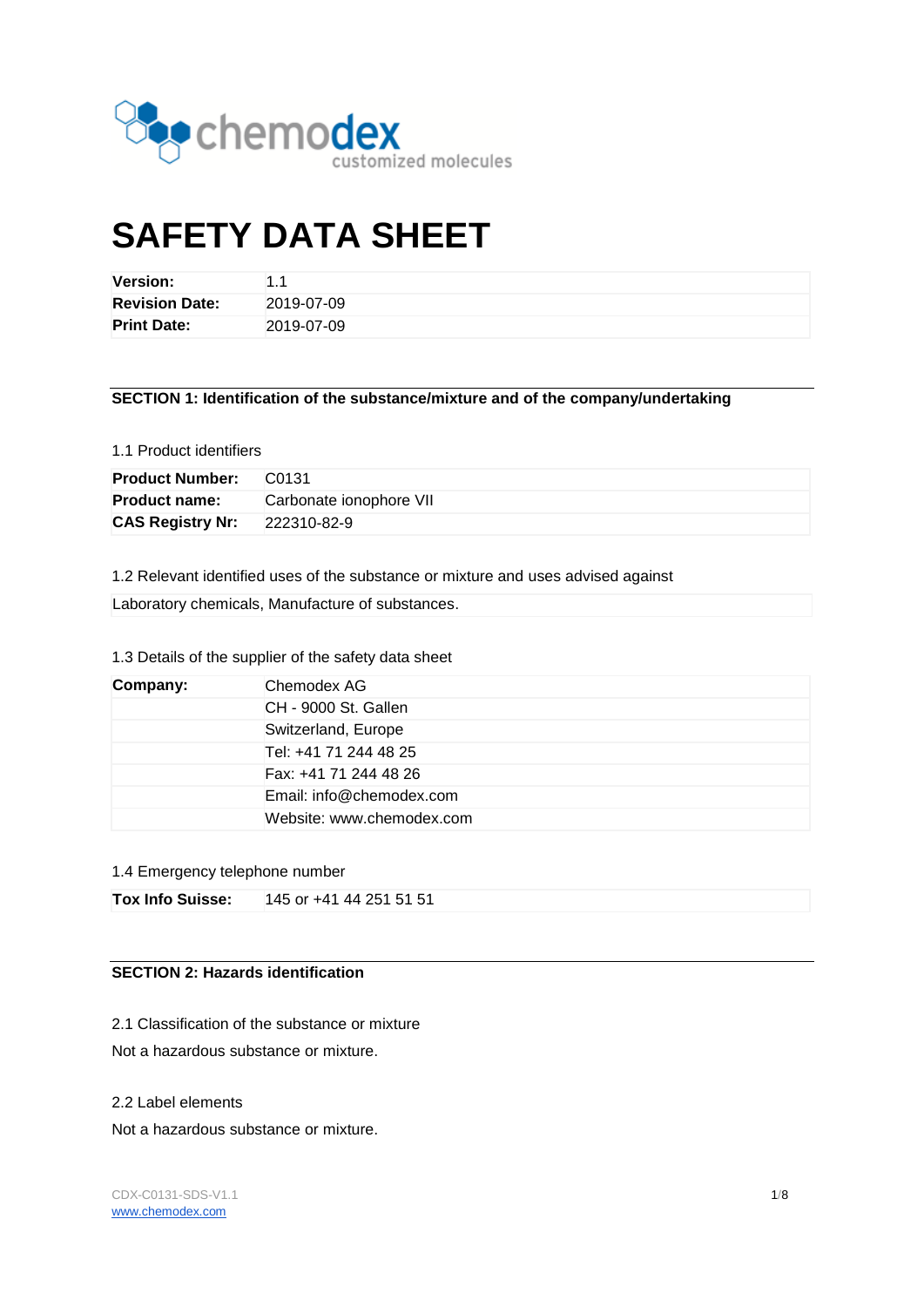

# **SAFETY DATA SHEET**

| <b>Version:</b>       | 11         |
|-----------------------|------------|
| <b>Revision Date:</b> | 2019-07-09 |
| <b>Print Date:</b>    | 2019-07-09 |

**SECTION 1: Identification of the substance/mixture and of the company/undertaking**

# 1.1 Product identifiers

| <b>Product Number:</b>  | C <sub>0131</sub>       |
|-------------------------|-------------------------|
| <b>Product name:</b>    | Carbonate ionophore VII |
| <b>CAS Registry Nr:</b> | 222310-82-9             |

1.2 Relevant identified uses of the substance or mixture and uses advised against

Laboratory chemicals, Manufacture of substances.

# 1.3 Details of the supplier of the safety data sheet

| Company: | Chemodex AG               |
|----------|---------------------------|
|          | CH - 9000 St. Gallen      |
|          | Switzerland, Europe       |
|          | Tel: +41 71 244 48 25     |
|          | Fax: +41 71 244 48 26     |
|          | Email: info@chemodex.com  |
|          | Website: www.chemodex.com |

#### 1.4 Emergency telephone number

| <b>Tox Info Suisse:</b> | 145 or +41 44 251 51 51 |
|-------------------------|-------------------------|
|-------------------------|-------------------------|

# **SECTION 2: Hazards identification**

2.1 Classification of the substance or mixture

Not a hazardous substance or mixture.

#### 2.2 Label elements

Not a hazardous substance or mixture.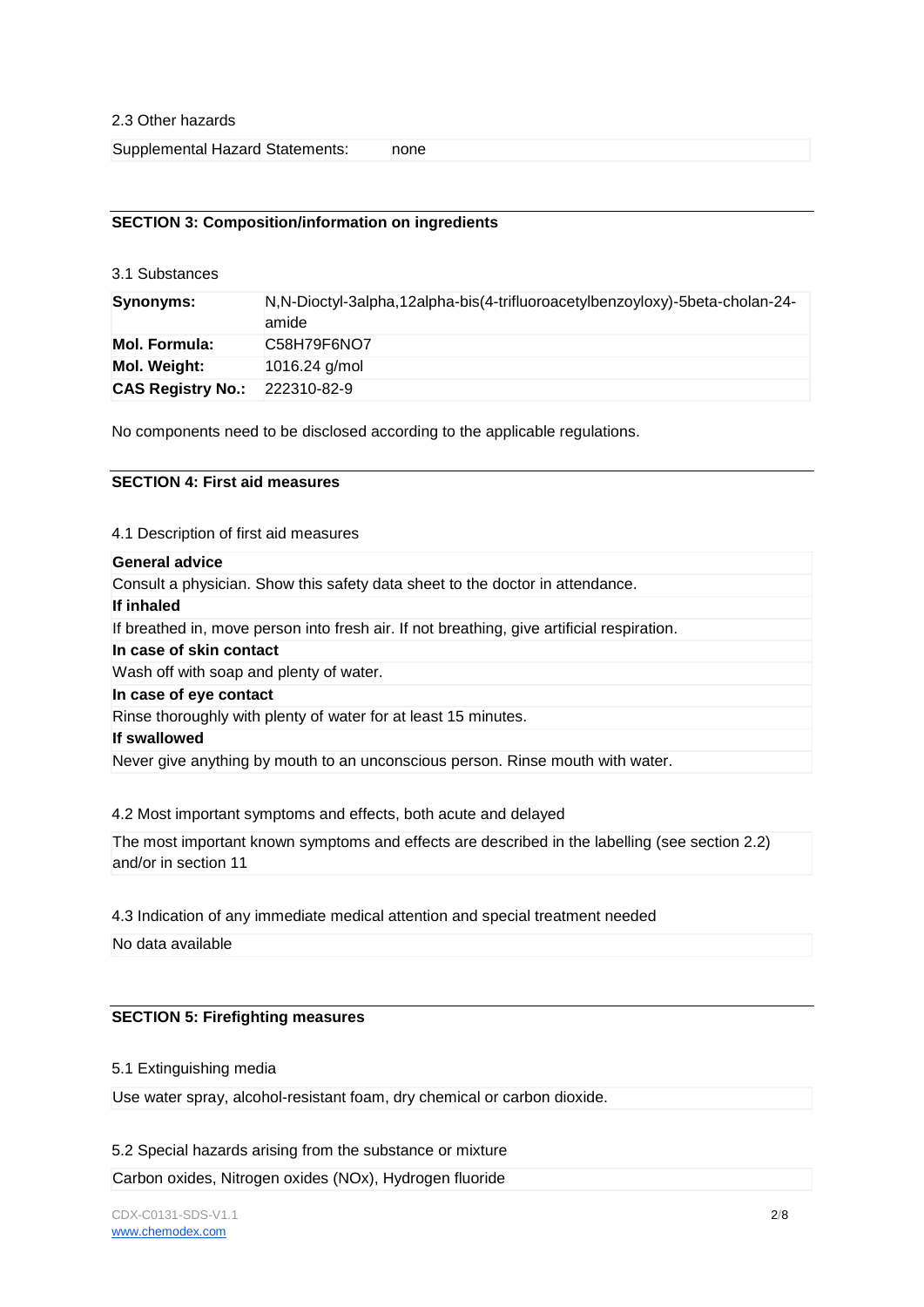Supplemental Hazard Statements: none

#### **SECTION 3: Composition/information on ingredients**

3.1 Substances

| Synonyms:                            | N, N-Dioctyl-3alpha, 12alpha-bis (4-trifluoroacetylbenzoyloxy)-5beta-cholan-24-<br>amide |
|--------------------------------------|------------------------------------------------------------------------------------------|
| <b>Mol. Formula:</b>                 | C58H79F6NO7                                                                              |
| Mol. Weight:                         | 1016.24 $q/mol$                                                                          |
| <b>CAS Registry No.: 222310-82-9</b> |                                                                                          |

No components need to be disclosed according to the applicable regulations.

#### **SECTION 4: First aid measures**

4.1 Description of first aid measures

# **General advice**

| Consult a physician. Show this safety data sheet to the doctor in attendance.              |
|--------------------------------------------------------------------------------------------|
| If inhaled                                                                                 |
| If breathed in, move person into fresh air. If not breathing, give artificial respiration. |
| In case of skin contact                                                                    |
| Wash off with soap and plenty of water.                                                    |
| In case of eye contact                                                                     |
| Rinse thoroughly with plenty of water for at least 15 minutes.                             |
| If swallowed                                                                               |
| Never give anything by mouth to an unconscious person. Rinse mouth with water.             |

4.2 Most important symptoms and effects, both acute and delayed

The most important known symptoms and effects are described in the labelling (see section 2.2) and/or in section 11

4.3 Indication of any immediate medical attention and special treatment needed

No data available

#### **SECTION 5: Firefighting measures**

#### 5.1 Extinguishing media

Use water spray, alcohol-resistant foam, dry chemical or carbon dioxide.

#### 5.2 Special hazards arising from the substance or mixture

Carbon oxides, Nitrogen oxides (NOx), Hydrogen fluoride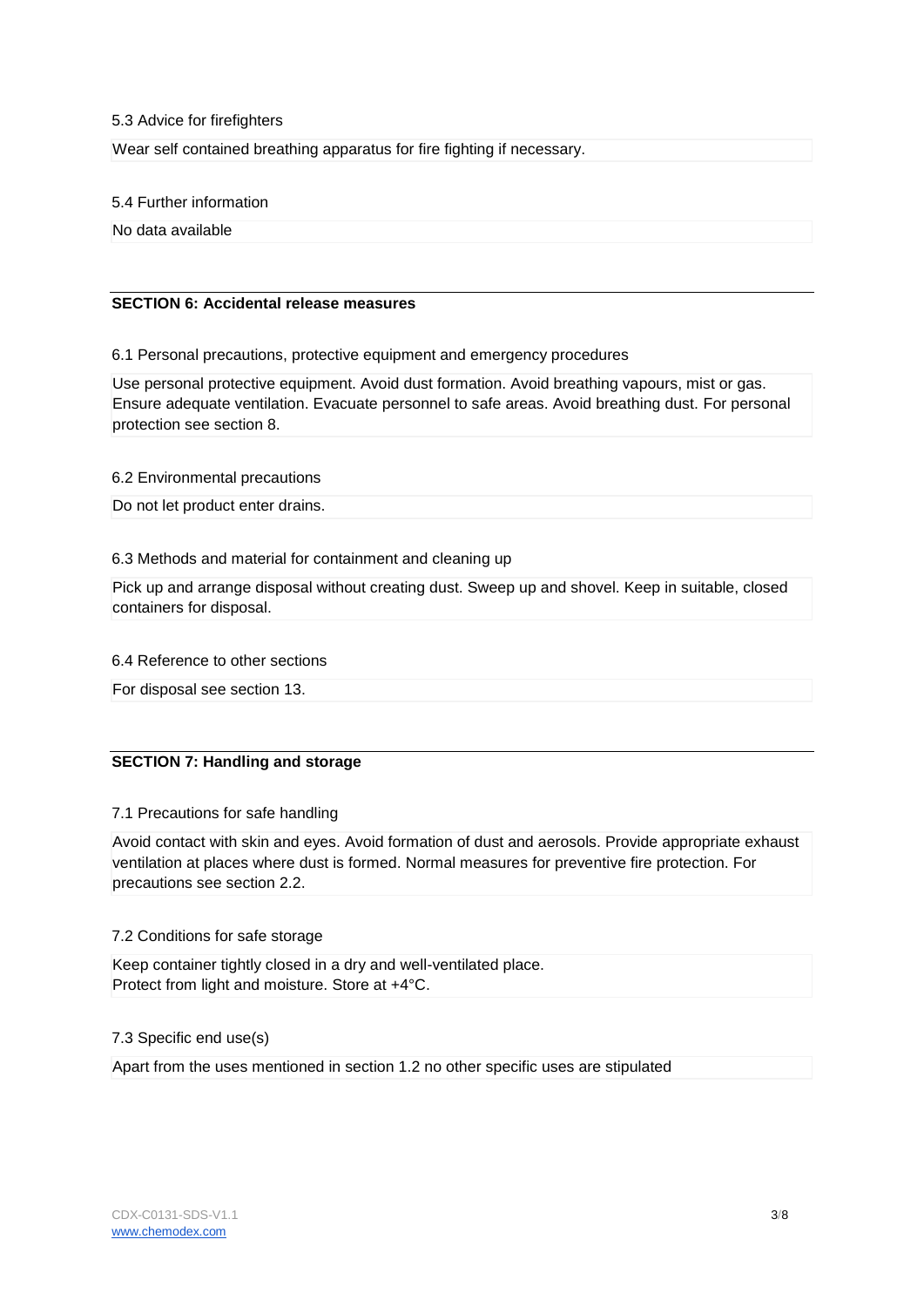#### 5.3 Advice for firefighters

Wear self contained breathing apparatus for fire fighting if necessary.

5.4 Further information

No data available

# **SECTION 6: Accidental release measures**

6.1 Personal precautions, protective equipment and emergency procedures

Use personal protective equipment. Avoid dust formation. Avoid breathing vapours, mist or gas. Ensure adequate ventilation. Evacuate personnel to safe areas. Avoid breathing dust. For personal protection see section 8.

6.2 Environmental precautions

Do not let product enter drains.

# 6.3 Methods and material for containment and cleaning up

Pick up and arrange disposal without creating dust. Sweep up and shovel. Keep in suitable, closed containers for disposal.

#### 6.4 Reference to other sections

For disposal see section 13.

# **SECTION 7: Handling and storage**

#### 7.1 Precautions for safe handling

Avoid contact with skin and eyes. Avoid formation of dust and aerosols. Provide appropriate exhaust ventilation at places where dust is formed. Normal measures for preventive fire protection. For precautions see section 2.2.

# 7.2 Conditions for safe storage

Keep container tightly closed in a dry and well-ventilated place. Protect from light and moisture. Store at +4°C.

# 7.3 Specific end use(s)

Apart from the uses mentioned in section 1.2 no other specific uses are stipulated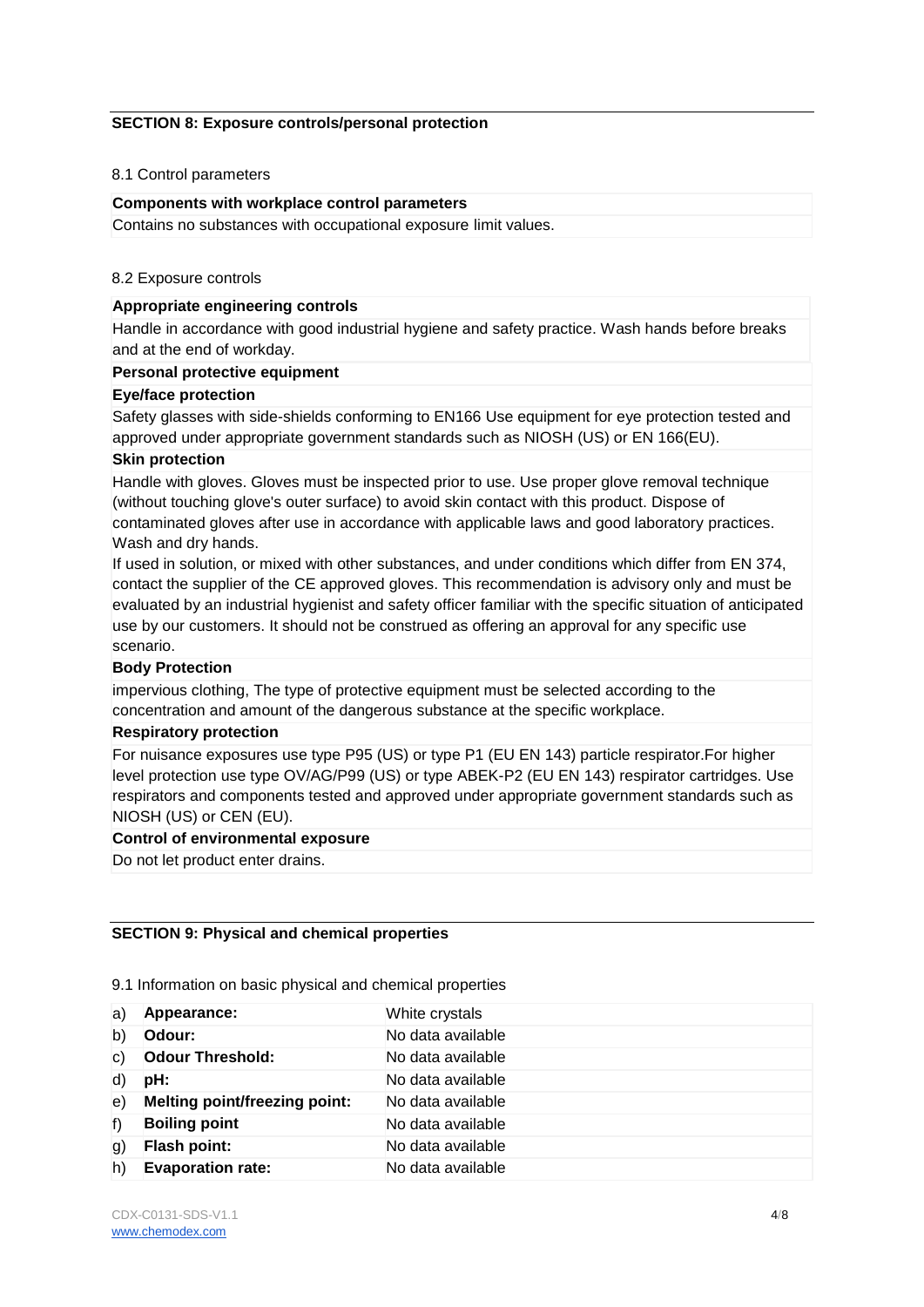### **SECTION 8: Exposure controls/personal protection**

#### 8.1 Control parameters

#### **Components with workplace control parameters**

Contains no substances with occupational exposure limit values.

#### 8.2 Exposure controls

# **Appropriate engineering controls**

Handle in accordance with good industrial hygiene and safety practice. Wash hands before breaks and at the end of workday.

### **Personal protective equipment**

#### **Eye/face protection**

Safety glasses with side-shields conforming to EN166 Use equipment for eye protection tested and approved under appropriate government standards such as NIOSH (US) or EN 166(EU).

# **Skin protection**

Handle with gloves. Gloves must be inspected prior to use. Use proper glove removal technique (without touching glove's outer surface) to avoid skin contact with this product. Dispose of contaminated gloves after use in accordance with applicable laws and good laboratory practices. Wash and dry hands.

If used in solution, or mixed with other substances, and under conditions which differ from EN 374, contact the supplier of the CE approved gloves. This recommendation is advisory only and must be evaluated by an industrial hygienist and safety officer familiar with the specific situation of anticipated use by our customers. It should not be construed as offering an approval for any specific use scenario.

# **Body Protection**

impervious clothing, The type of protective equipment must be selected according to the concentration and amount of the dangerous substance at the specific workplace.

#### **Respiratory protection**

For nuisance exposures use type P95 (US) or type P1 (EU EN 143) particle respirator.For higher level protection use type OV/AG/P99 (US) or type ABEK-P2 (EU EN 143) respirator cartridges. Use respirators and components tested and approved under appropriate government standards such as NIOSH (US) or CEN (EU).

#### **Control of environmental exposure**

Do not let product enter drains.

# **SECTION 9: Physical and chemical properties**

|  |  |  |  | 9.1 Information on basic physical and chemical properties |  |
|--|--|--|--|-----------------------------------------------------------|--|
|--|--|--|--|-----------------------------------------------------------|--|

| a)           | Appearance:                          | White crystals    |
|--------------|--------------------------------------|-------------------|
| b)           | Odour:                               | No data available |
| $\mathsf{C}$ | <b>Odour Threshold:</b>              | No data available |
| d)           | pH:                                  | No data available |
| e)           | <b>Melting point/freezing point:</b> | No data available |
| f)           | <b>Boiling point</b>                 | No data available |
| g)           | Flash point:                         | No data available |
| h)           | <b>Evaporation rate:</b>             | No data available |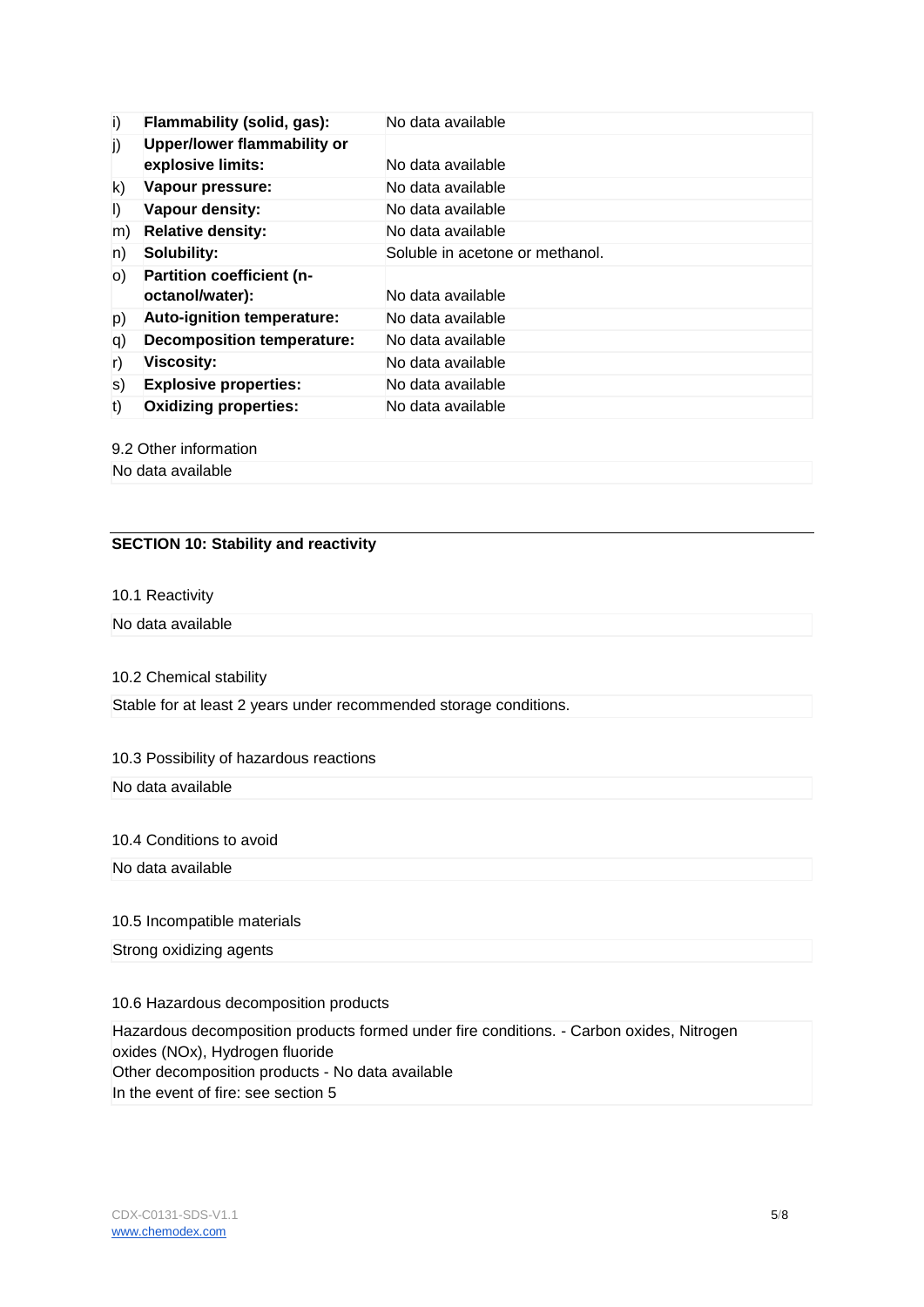| i)      | Flammability (solid, gas):       | No data available               |
|---------|----------------------------------|---------------------------------|
| j)      | Upper/lower flammability or      |                                 |
|         | explosive limits:                | No data available               |
| k)      | Vapour pressure:                 | No data available               |
| $\vert$ | Vapour density:                  | No data available               |
| m)      | <b>Relative density:</b>         | No data available               |
| n)      | Solubility:                      | Soluble in acetone or methanol. |
| O)      | <b>Partition coefficient (n-</b> |                                 |
|         | octanol/water):                  | No data available               |
| p)      | Auto-ignition temperature:       | No data available               |
| q)      | Decomposition temperature:       | No data available               |
| r)      | <b>Viscosity:</b>                | No data available               |
| S)      | <b>Explosive properties:</b>     | No data available               |
| t)      | <b>Oxidizing properties:</b>     | No data available               |

#### 9.2 Other information

No data available

# **SECTION 10: Stability and reactivity**

## 10.1 Reactivity

# No data available

10.2 Chemical stability

Stable for at least 2 years under recommended storage conditions.

# 10.3 Possibility of hazardous reactions

#### No data available

#### 10.4 Conditions to avoid

No data available

# 10.5 Incompatible materials

Strong oxidizing agents

## 10.6 Hazardous decomposition products

Hazardous decomposition products formed under fire conditions. - Carbon oxides, Nitrogen oxides (NOx), Hydrogen fluoride Other decomposition products - No data available In the event of fire: see section 5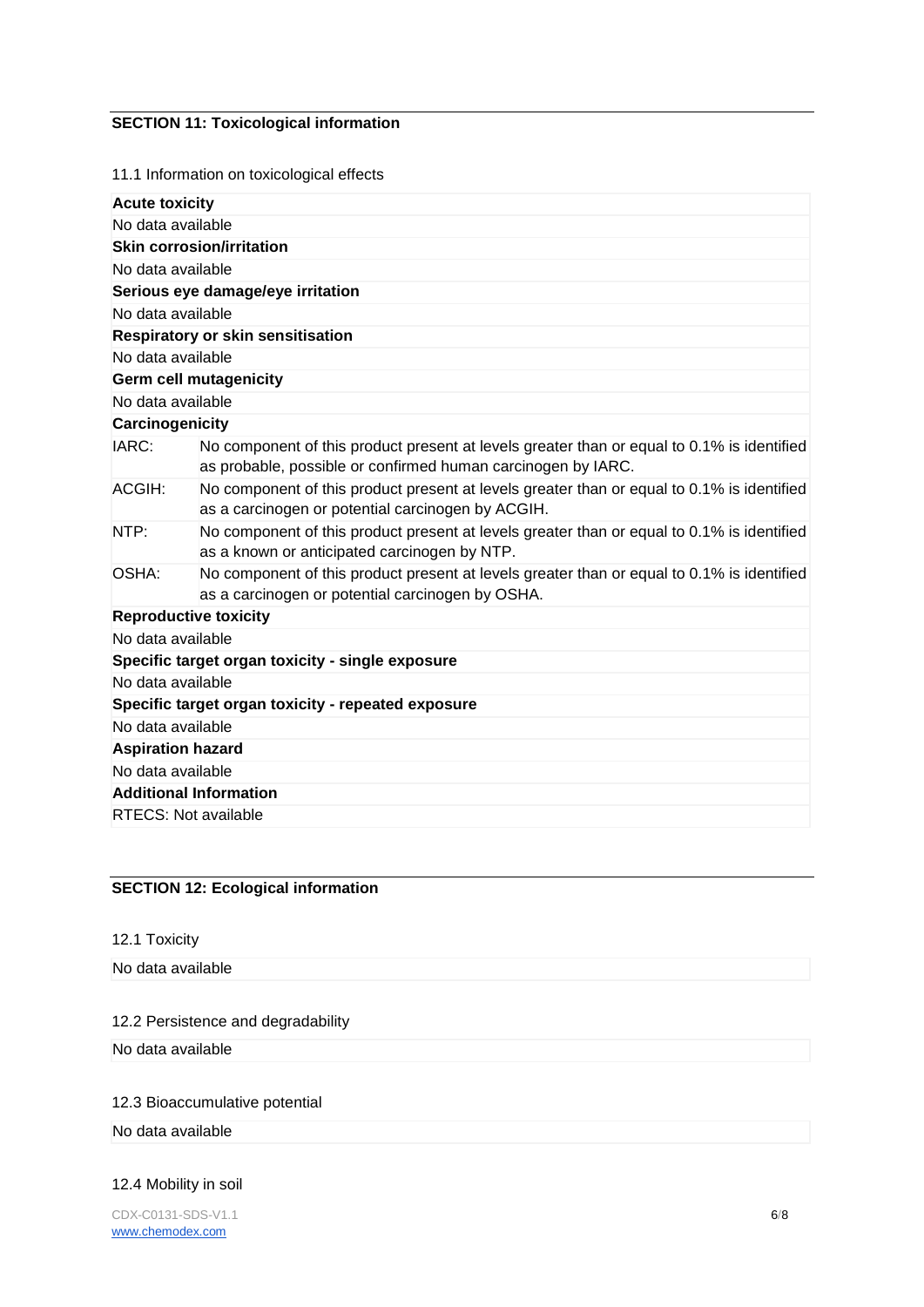# **SECTION 11: Toxicological information**

11.1 Information on toxicological effects

| No data available<br><b>Skin corrosion/irritation</b><br>No data available<br>Serious eye damage/eye irritation<br>No data available                                |
|---------------------------------------------------------------------------------------------------------------------------------------------------------------------|
|                                                                                                                                                                     |
|                                                                                                                                                                     |
|                                                                                                                                                                     |
|                                                                                                                                                                     |
|                                                                                                                                                                     |
| Respiratory or skin sensitisation                                                                                                                                   |
| No data available                                                                                                                                                   |
| <b>Germ cell mutagenicity</b>                                                                                                                                       |
| No data available                                                                                                                                                   |
| Carcinogenicity                                                                                                                                                     |
| IARC:<br>No component of this product present at levels greater than or equal to 0.1% is identified<br>as probable, possible or confirmed human carcinogen by IARC. |
| No component of this product present at levels greater than or equal to 0.1% is identified<br>ACGIH:<br>as a carcinogen or potential carcinogen by ACGIH.           |
| No component of this product present at levels greater than or equal to 0.1% is identified<br>NTP:<br>as a known or anticipated carcinogen by NTP.                  |
| No component of this product present at levels greater than or equal to 0.1% is identified<br>OSHA:<br>as a carcinogen or potential carcinogen by OSHA.             |
| <b>Reproductive toxicity</b>                                                                                                                                        |
| No data available                                                                                                                                                   |
| Specific target organ toxicity - single exposure                                                                                                                    |
| No data available                                                                                                                                                   |
| Specific target organ toxicity - repeated exposure                                                                                                                  |
| No data available                                                                                                                                                   |
| <b>Aspiration hazard</b>                                                                                                                                            |
| No data available                                                                                                                                                   |
| <b>Additional Information</b>                                                                                                                                       |
| <b>RTECS: Not available</b>                                                                                                                                         |

# **SECTION 12: Ecological information**

12.1 Toxicity

No data available

## 12.2 Persistence and degradability

No data available

## 12.3 Bioaccumulative potential

No data available

## 12.4 Mobility in soil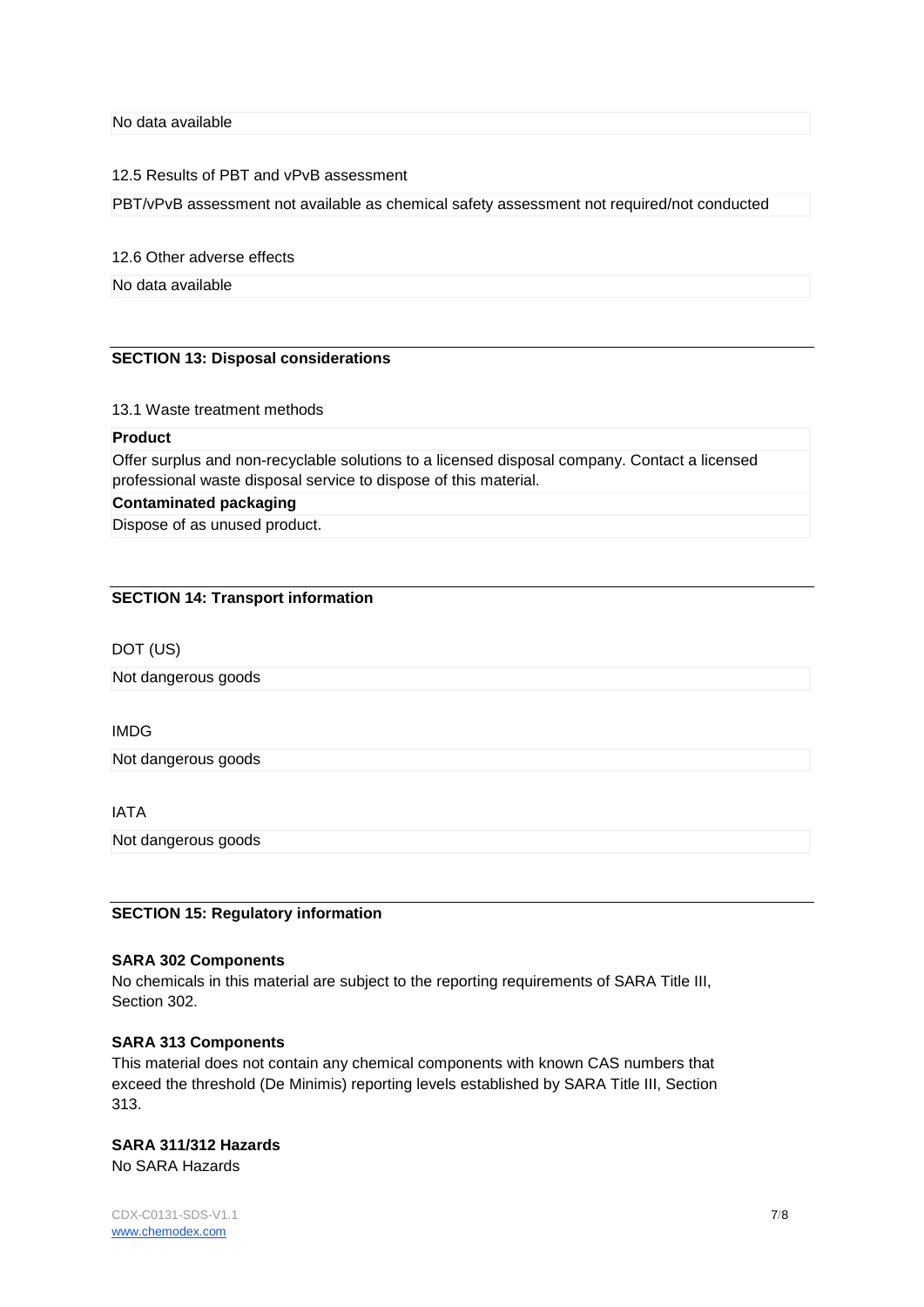No data available

#### 12.5 Results of PBT and vPvB assessment

PBT/vPvB assessment not available as chemical safety assessment not required/not conducted

12.6 Other adverse effects

No data available

## **SECTION 13: Disposal considerations**

13.1 Waste treatment methods

#### **Product**

Offer surplus and non-recyclable solutions to a licensed disposal company. Contact a licensed professional waste disposal service to dispose of this material.

# **Contaminated packaging**

Dispose of as unused product.

#### **SECTION 14: Transport information**

#### DOT (US)

Not dangerous goods

#### IMDG

Not dangerous goods

# IATA

Not dangerous goods

#### **SECTION 15: Regulatory information**

# **SARA 302 Components**

No chemicals in this material are subject to the reporting requirements of SARA Title III, Section 302.

#### **SARA 313 Components**

This material does not contain any chemical components with known CAS numbers that exceed the threshold (De Minimis) reporting levels established by SARA Title III, Section 313.

# **SARA 311/312 Hazards**

No SARA Hazards